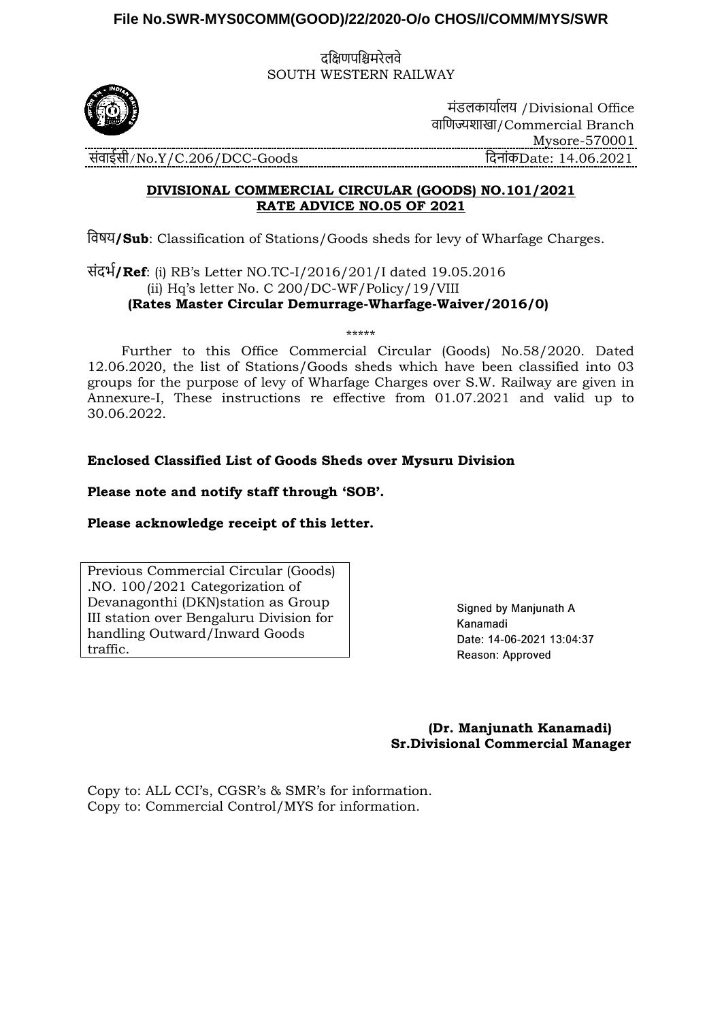## **File No.SWR-MYS0COMM(GOOD)/22/2020-O/o CHOS/I/COMM/MYS/SWR**

दक्षिणपक्षिमरेलवे SOUTH WESTERN RAILWAY



मंडलकार्ाालर् /Divisional Office वाक्षणज्यशाखा/Commercial Branch Mysore-570001 संवाईसी/No.Y/C.206/DCC-Goods क्षदनांकDate: 14.06.2021

## **DIVISIONAL COMMERCIAL CIRCULAR (GOODS) NO.101/2021 RATE ADVICE NO.05 OF 2021**

क्षवषर्**/Sub**: Classification of Stations/Goods sheds for levy of Wharfage Charges.

संदर्ा**/Ref**: (i) RB's Letter NO.TC-I/2016/201/I dated 19.05.2016 (ii) Hq's letter No. C 200/DC-WF/Policy/19/VIII  **(Rates Master Circular Demurrage-Wharfage-Waiver/2016/0)**

 Further to this Office Commercial Circular (Goods) No.58/2020. Dated 12.06.2020, the list of Stations/Goods sheds which have been classified into 03 groups for the purpose of levy of Wharfage Charges over S.W. Railway are given in Annexure-I, These instructions re effective from 01.07.2021 and valid up to 30.06.2022.

\*\*\*\*\*

## **Enclosed Classified List of Goods Sheds over Mysuru Division**

**Please note and notify staff through 'SOB'.**

## **Please acknowledge receipt of this letter.**

Previous Commercial Circular (Goods) .NO. 100/2021 Categorization of Devanagonthi (DKN)station as Group III station over Bengaluru Division for handling Outward/Inward Goods traffic.

Signed by Manjunath A Kanamadi Date: 14-06-2021 13:04:37 Reason: Approved

 **(Dr. Manjunath Kanamadi) Sr.Divisional Commercial Manager**

Copy to: ALL CCI's, CGSR's & SMR's for information. Copy to: Commercial Control/MYS for information.